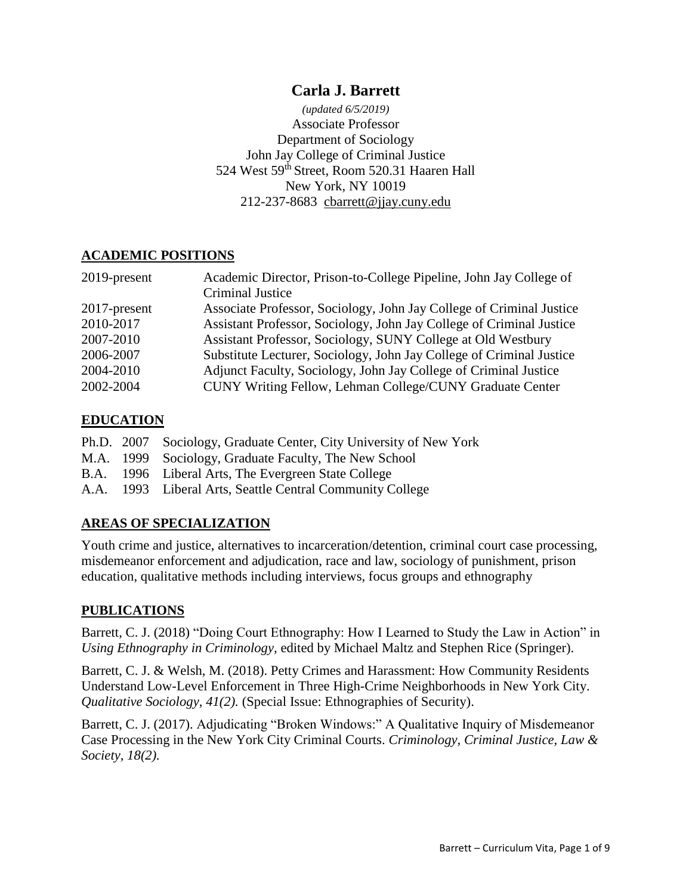# **Carla J. Barrett**

*(updated 6/5/2019)* Associate Professor Department of Sociology John Jay College of Criminal Justice 524 West 59th Street, Room 520.31 Haaren Hall New York, NY 10019 212-237-8683 [cbarrett@jjay.cuny.edu](mailto:cbarrett@jjay.cuny.edu)

## **ACADEMIC POSITIONS**

| 2019-present | Academic Director, Prison-to-College Pipeline, John Jay College of   |
|--------------|----------------------------------------------------------------------|
|              | Criminal Justice                                                     |
| 2017-present | Associate Professor, Sociology, John Jay College of Criminal Justice |
| 2010-2017    | Assistant Professor, Sociology, John Jay College of Criminal Justice |
| 2007-2010    | Assistant Professor, Sociology, SUNY College at Old Westbury         |
| 2006-2007    | Substitute Lecturer, Sociology, John Jay College of Criminal Justice |
| 2004-2010    | Adjunct Faculty, Sociology, John Jay College of Criminal Justice     |
| 2002-2004    | CUNY Writing Fellow, Lehman College/CUNY Graduate Center             |

## **EDUCATION**

|  | Ph.D. 2007 Sociology, Graduate Center, City University of New York |
|--|--------------------------------------------------------------------|
|  | M.A. 1999 Sociology, Graduate Faculty, The New School              |
|  | B.A. 1996 Liberal Arts, The Evergreen State College                |
|  | A.A. 1993 Liberal Arts, Seattle Central Community College          |

## **AREAS OF SPECIALIZATION**

Youth crime and justice, alternatives to incarceration/detention, criminal court case processing, misdemeanor enforcement and adjudication, race and law, sociology of punishment, prison education, qualitative methods including interviews, focus groups and ethnography

#### **PUBLICATIONS**

Barrett, C. J. (2018) "Doing Court Ethnography: How I Learned to Study the Law in Action" in *Using Ethnography in Criminology,* edited by Michael Maltz and Stephen Rice (Springer).

Barrett, C. J. & Welsh, M. (2018). Petty Crimes and Harassment: How Community Residents Understand Low-Level Enforcement in Three High-Crime Neighborhoods in New York City. *Qualitative Sociology, 41(2).* (Special Issue: Ethnographies of Security).

Barrett, C. J. (2017). Adjudicating "Broken Windows:" A Qualitative Inquiry of Misdemeanor Case Processing in the New York City Criminal Courts. *Criminology, Criminal Justice, Law & Society, 18(2).*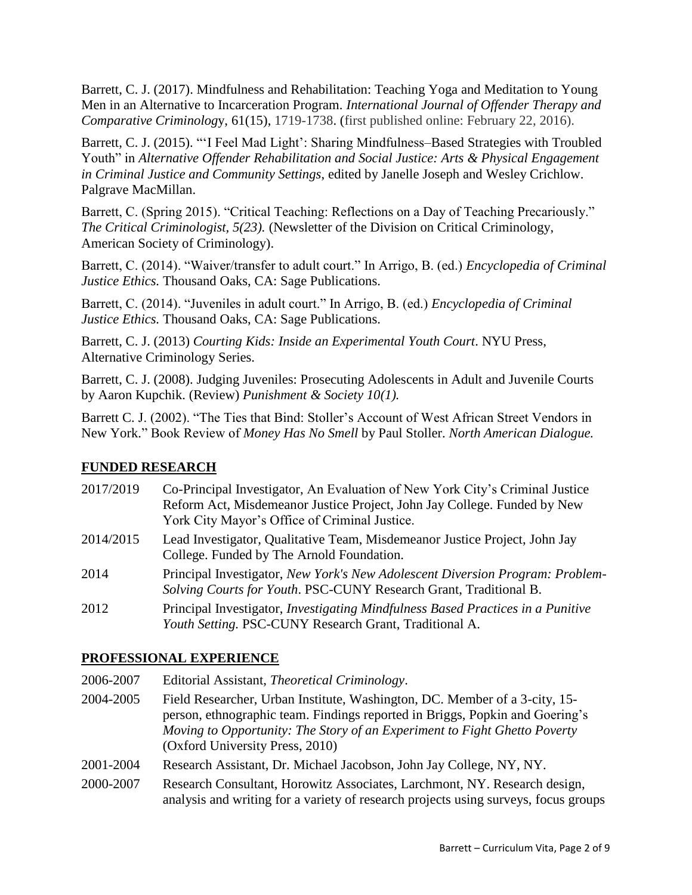Barrett, C. J. (2017). Mindfulness and Rehabilitation: Teaching Yoga and Meditation to Young Men in an Alternative to Incarceration Program. *International Journal of Offender Therapy and Comparative Criminolog*y, 61(15), 1719-1738. (first published online: February 22, 2016).

Barrett, C. J. (2015). "'I Feel Mad Light': Sharing Mindfulness–Based Strategies with Troubled Youth" in *Alternative Offender Rehabilitation and Social Justice: Arts & Physical Engagement in Criminal Justice and Community Settings*, edited by Janelle Joseph and Wesley Crichlow. Palgrave MacMillan.

Barrett, C. (Spring 2015). "Critical Teaching: Reflections on a Day of Teaching Precariously." *The Critical Criminologist, 5(23).* (Newsletter of the Division on Critical Criminology, American Society of Criminology).

Barrett, C. (2014). "Waiver/transfer to adult court." In Arrigo, B. (ed.) *Encyclopedia of Criminal Justice Ethics.* Thousand Oaks, CA: Sage Publications.

Barrett, C. (2014). "Juveniles in adult court." In Arrigo, B. (ed.) *Encyclopedia of Criminal Justice Ethics.* Thousand Oaks, CA: Sage Publications.

Barrett, C. J. (2013) *Courting Kids: Inside an Experimental Youth Court*. NYU Press, Alternative Criminology Series.

Barrett, C. J. (2008). Judging Juveniles: Prosecuting Adolescents in Adult and Juvenile Courts by [Aaron Kupchik.](http://www.amazon.com/exec/obidos/search-handle-url/104-5013737-8629547?%5Fencoding=UTF8&search-type=ss&index=books&field-author=Aaron%20Kupchik) (Review) *Punishment & Society 10(1).*

Barrett C. J. (2002). "The Ties that Bind: Stoller's Account of West African Street Vendors in New York." Book Review of *Money Has No Smell* by Paul Stoller. *North American Dialogue.* 

## **FUNDED RESEARCH**

- 2017/2019 Co-Principal Investigator, An Evaluation of New York City's Criminal Justice Reform Act, Misdemeanor Justice Project, John Jay College. Funded by New York City Mayor's Office of Criminal Justice.
- 2014/2015 Lead Investigator, Qualitative Team, Misdemeanor Justice Project, John Jay College. Funded by The Arnold Foundation.
- 2014 Principal Investigator, *New York's New Adolescent Diversion Program: Problem-Solving Courts for Youth*. PSC-CUNY Research Grant, Traditional B.
- 2012 Principal Investigator, *Investigating Mindfulness Based Practices in a Punitive Youth Setting.* PSC-CUNY Research Grant, Traditional A.

## **PROFESSIONAL EXPERIENCE**

2006-2007 Editorial Assistant, *Theoretical Criminology*.

- 2004-2005 Field Researcher, Urban Institute, Washington, DC. Member of a 3-city, 15 person, ethnographic team. Findings reported in Briggs, Popkin and Goering's *Moving to Opportunity: The Story of an Experiment to Fight Ghetto Poverty* (Oxford University Press, 2010)
- 2001-2004 Research Assistant, Dr. Michael Jacobson, John Jay College, NY, NY.
- 2000-2007 Research Consultant, Horowitz Associates, Larchmont, NY. Research design, analysis and writing for a variety of research projects using surveys, focus groups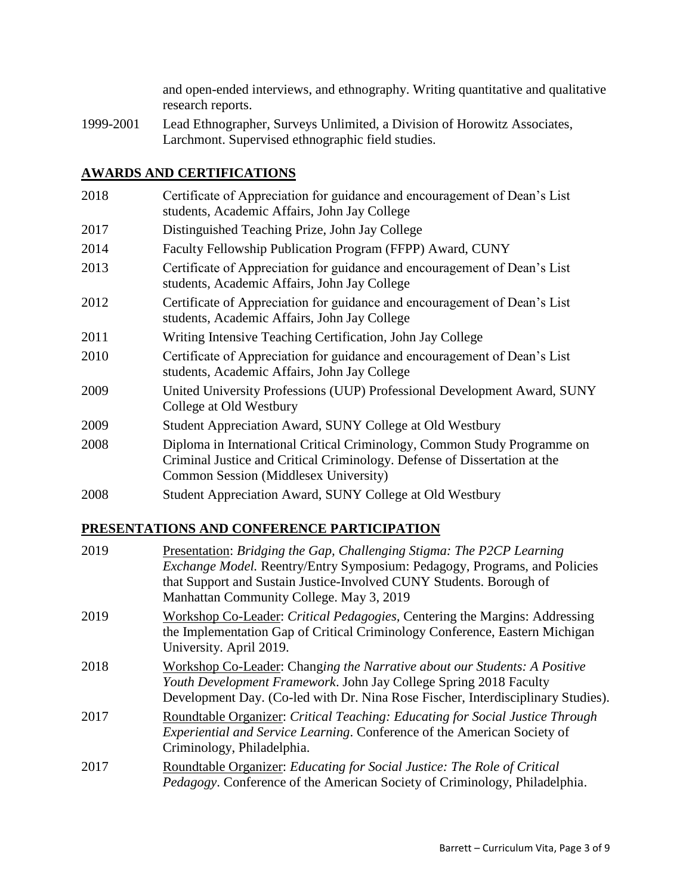and open-ended interviews, and ethnography. Writing quantitative and qualitative research reports.

1999-2001 Lead Ethnographer, Surveys Unlimited, a Division of Horowitz Associates, Larchmont. Supervised ethnographic field studies.

## **AWARDS AND CERTIFICATIONS**

| 2018 | Certificate of Appreciation for guidance and encouragement of Dean's List<br>students, Academic Affairs, John Jay College                                                                      |
|------|------------------------------------------------------------------------------------------------------------------------------------------------------------------------------------------------|
| 2017 | Distinguished Teaching Prize, John Jay College                                                                                                                                                 |
| 2014 | Faculty Fellowship Publication Program (FFPP) Award, CUNY                                                                                                                                      |
| 2013 | Certificate of Appreciation for guidance and encouragement of Dean's List<br>students, Academic Affairs, John Jay College                                                                      |
| 2012 | Certificate of Appreciation for guidance and encouragement of Dean's List<br>students, Academic Affairs, John Jay College                                                                      |
| 2011 | Writing Intensive Teaching Certification, John Jay College                                                                                                                                     |
| 2010 | Certificate of Appreciation for guidance and encouragement of Dean's List<br>students, Academic Affairs, John Jay College                                                                      |
| 2009 | United University Professions (UUP) Professional Development Award, SUNY<br>College at Old Westbury                                                                                            |
| 2009 | Student Appreciation Award, SUNY College at Old Westbury                                                                                                                                       |
| 2008 | Diploma in International Critical Criminology, Common Study Programme on<br>Criminal Justice and Critical Criminology. Defense of Dissertation at the<br>Common Session (Middlesex University) |
| 2008 | Student Appreciation Award, SUNY College at Old Westbury                                                                                                                                       |

# **PRESENTATIONS AND CONFERENCE PARTICIPATION**

| 2019 | Presentation: Bridging the Gap, Challenging Stigma: The P2CP Learning<br><i>Exchange Model.</i> Reentry/Entry Symposium: Pedagogy, Programs, and Policies<br>that Support and Sustain Justice-Involved CUNY Students. Borough of<br>Manhattan Community College. May 3, 2019 |
|------|------------------------------------------------------------------------------------------------------------------------------------------------------------------------------------------------------------------------------------------------------------------------------|
| 2019 | Workshop Co-Leader: Critical Pedagogies, Centering the Margins: Addressing<br>the Implementation Gap of Critical Criminology Conference, Eastern Michigan<br>University. April 2019.                                                                                         |
| 2018 | Workshop Co-Leader: Changing the Narrative about our Students: A Positive<br>Youth Development Framework. John Jay College Spring 2018 Faculty<br>Development Day. (Co-led with Dr. Nina Rose Fischer, Interdisciplinary Studies).                                           |
| 2017 | Roundtable Organizer: Critical Teaching: Educating for Social Justice Through<br>Experiential and Service Learning. Conference of the American Society of<br>Criminology, Philadelphia.                                                                                      |
| 2017 | Roundtable Organizer: Educating for Social Justice: The Role of Critical<br><i>Pedagogy</i> . Conference of the American Society of Criminology, Philadelphia.                                                                                                               |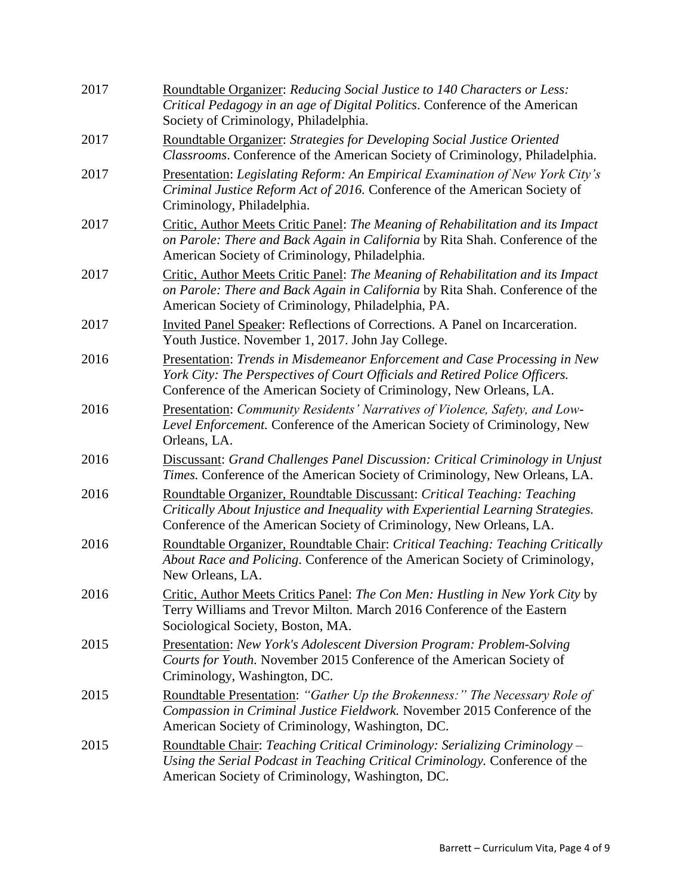| 2017 | Roundtable Organizer: Reducing Social Justice to 140 Characters or Less:<br>Critical Pedagogy in an age of Digital Politics. Conference of the American<br>Society of Criminology, Philadelphia.                                    |
|------|-------------------------------------------------------------------------------------------------------------------------------------------------------------------------------------------------------------------------------------|
| 2017 | Roundtable Organizer: Strategies for Developing Social Justice Oriented<br>Classrooms. Conference of the American Society of Criminology, Philadelphia.                                                                             |
| 2017 | Presentation: Legislating Reform: An Empirical Examination of New York City's<br>Criminal Justice Reform Act of 2016. Conference of the American Society of<br>Criminology, Philadelphia.                                           |
| 2017 | Critic, Author Meets Critic Panel: The Meaning of Rehabilitation and its Impact<br>on Parole: There and Back Again in California by Rita Shah. Conference of the<br>American Society of Criminology, Philadelphia.                  |
| 2017 | Critic, Author Meets Critic Panel: The Meaning of Rehabilitation and its Impact<br>on Parole: There and Back Again in California by Rita Shah. Conference of the<br>American Society of Criminology, Philadelphia, PA.              |
| 2017 | Invited Panel Speaker: Reflections of Corrections. A Panel on Incarceration.<br>Youth Justice. November 1, 2017. John Jay College.                                                                                                  |
| 2016 | Presentation: Trends in Misdemeanor Enforcement and Case Processing in New<br>York City: The Perspectives of Court Officials and Retired Police Officers.<br>Conference of the American Society of Criminology, New Orleans, LA.    |
| 2016 | Presentation: Community Residents' Narratives of Violence, Safety, and Low-<br>Level Enforcement. Conference of the American Society of Criminology, New<br>Orleans, LA.                                                            |
| 2016 | Discussant: Grand Challenges Panel Discussion: Critical Criminology in Unjust<br>Times. Conference of the American Society of Criminology, New Orleans, LA.                                                                         |
| 2016 | Roundtable Organizer, Roundtable Discussant: Critical Teaching: Teaching<br>Critically About Injustice and Inequality with Experiential Learning Strategies.<br>Conference of the American Society of Criminology, New Orleans, LA. |
| 2016 | Roundtable Organizer, Roundtable Chair: Critical Teaching: Teaching Critically<br>About Race and Policing. Conference of the American Society of Criminology,<br>New Orleans, LA.                                                   |
| 2016 | Critic, Author Meets Critics Panel: The Con Men: Hustling in New York City by<br>Terry Williams and Trevor Milton. March 2016 Conference of the Eastern<br>Sociological Society, Boston, MA.                                        |
| 2015 | <b>Presentation:</b> New York's Adolescent Diversion Program: Problem-Solving<br>Courts for Youth. November 2015 Conference of the American Society of<br>Criminology, Washington, DC.                                              |
| 2015 | Roundtable Presentation: "Gather Up the Brokenness:" The Necessary Role of<br>Compassion in Criminal Justice Fieldwork. November 2015 Conference of the<br>American Society of Criminology, Washington, DC.                         |
| 2015 | <b>Roundtable Chair: Teaching Critical Criminology: Serializing Criminology –</b><br>Using the Serial Podcast in Teaching Critical Criminology. Conference of the<br>American Society of Criminology, Washington, DC.               |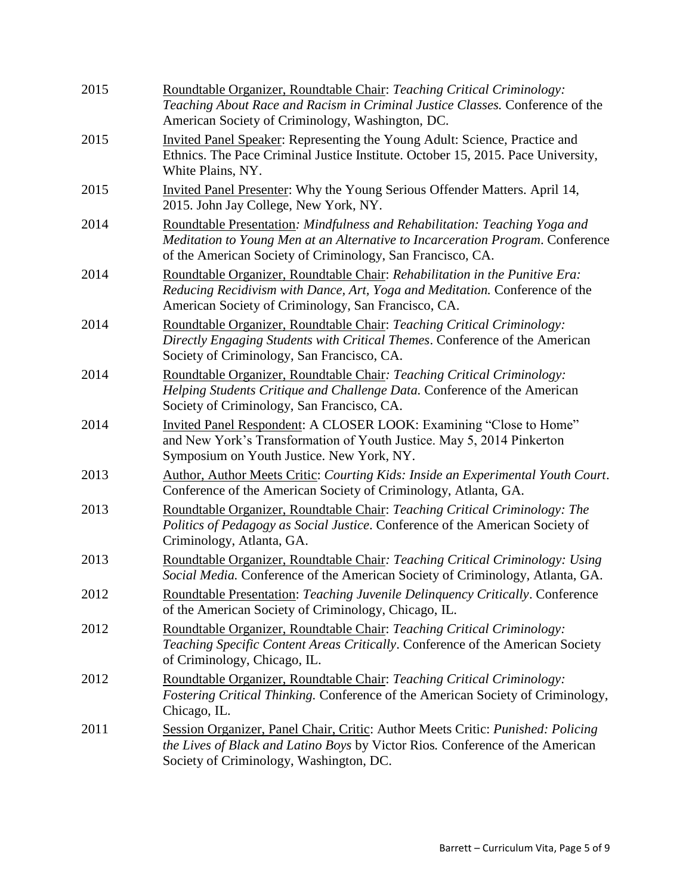| 2015 | Roundtable Organizer, Roundtable Chair: Teaching Critical Criminology:<br>Teaching About Race and Racism in Criminal Justice Classes. Conference of the<br>American Society of Criminology, Washington, DC.                |
|------|----------------------------------------------------------------------------------------------------------------------------------------------------------------------------------------------------------------------------|
| 2015 | Invited Panel Speaker: Representing the Young Adult: Science, Practice and<br>Ethnics. The Pace Criminal Justice Institute. October 15, 2015. Pace University,<br>White Plains, NY.                                        |
| 2015 | Invited Panel Presenter: Why the Young Serious Offender Matters. April 14,<br>2015. John Jay College, New York, NY.                                                                                                        |
| 2014 | Roundtable Presentation: Mindfulness and Rehabilitation: Teaching Yoga and<br>Meditation to Young Men at an Alternative to Incarceration Program. Conference<br>of the American Society of Criminology, San Francisco, CA. |
| 2014 | Roundtable Organizer, Roundtable Chair: Rehabilitation in the Punitive Era:<br>Reducing Recidivism with Dance, Art, Yoga and Meditation. Conference of the<br>American Society of Criminology, San Francisco, CA.          |
| 2014 | Roundtable Organizer, Roundtable Chair: Teaching Critical Criminology:<br>Directly Engaging Students with Critical Themes. Conference of the American<br>Society of Criminology, San Francisco, CA.                        |
| 2014 | Roundtable Organizer, Roundtable Chair: Teaching Critical Criminology:<br>Helping Students Critique and Challenge Data. Conference of the American<br>Society of Criminology, San Francisco, CA.                           |
| 2014 | Invited Panel Respondent: A CLOSER LOOK: Examining "Close to Home"<br>and New York's Transformation of Youth Justice. May 5, 2014 Pinkerton<br>Symposium on Youth Justice. New York, NY.                                   |
| 2013 | Author, Author Meets Critic: Courting Kids: Inside an Experimental Youth Court.<br>Conference of the American Society of Criminology, Atlanta, GA.                                                                         |
| 2013 | Roundtable Organizer, Roundtable Chair: Teaching Critical Criminology: The<br>Politics of Pedagogy as Social Justice. Conference of the American Society of<br>Criminology, Atlanta, GA.                                   |
| 2013 | Roundtable Organizer, Roundtable Chair: Teaching Critical Criminology: Using<br>Social Media. Conference of the American Society of Criminology, Atlanta, GA.                                                              |
| 2012 | Roundtable Presentation: Teaching Juvenile Delinquency Critically. Conference<br>of the American Society of Criminology, Chicago, IL.                                                                                      |
| 2012 | Roundtable Organizer, Roundtable Chair: Teaching Critical Criminology:<br>Teaching Specific Content Areas Critically. Conference of the American Society<br>of Criminology, Chicago, IL.                                   |
| 2012 | Roundtable Organizer, Roundtable Chair: Teaching Critical Criminology:<br>Fostering Critical Thinking. Conference of the American Society of Criminology,<br>Chicago, IL.                                                  |
| 2011 | Session Organizer, Panel Chair, Critic: Author Meets Critic: Punished: Policing<br>the Lives of Black and Latino Boys by Victor Rios. Conference of the American<br>Society of Criminology, Washington, DC.                |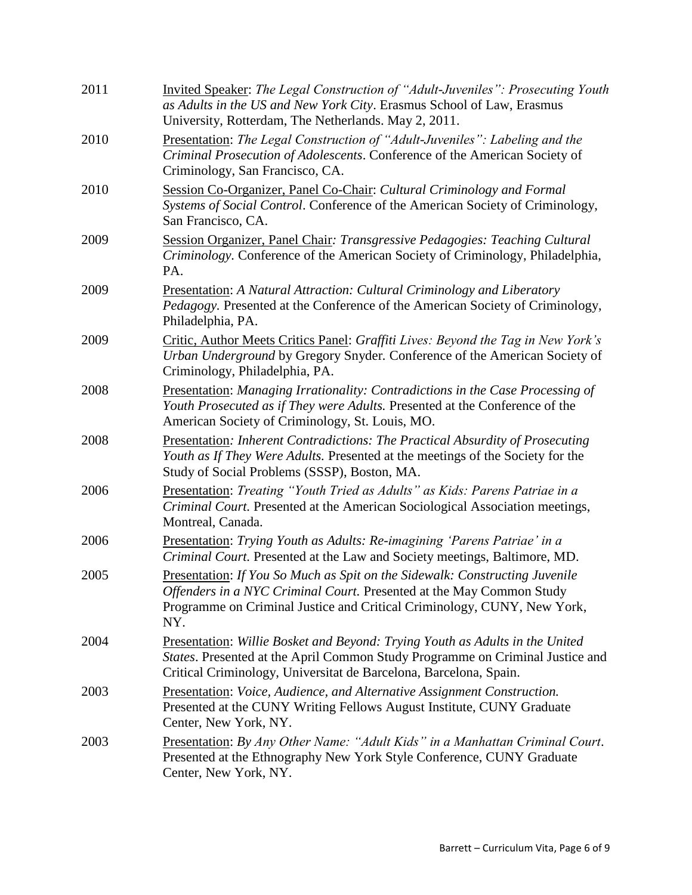| 2011 | Invited Speaker: The Legal Construction of "Adult-Juveniles": Prosecuting Youth<br>as Adults in the US and New York City. Erasmus School of Law, Erasmus<br>University, Rotterdam, The Netherlands. May 2, 2011.                             |
|------|----------------------------------------------------------------------------------------------------------------------------------------------------------------------------------------------------------------------------------------------|
| 2010 | Presentation: The Legal Construction of "Adult-Juveniles": Labeling and the<br>Criminal Prosecution of Adolescents. Conference of the American Society of<br>Criminology, San Francisco, CA.                                                 |
| 2010 | Session Co-Organizer, Panel Co-Chair: Cultural Criminology and Formal<br>Systems of Social Control. Conference of the American Society of Criminology,<br>San Francisco, CA.                                                                 |
| 2009 | Session Organizer, Panel Chair: Transgressive Pedagogies: Teaching Cultural<br>Criminology. Conference of the American Society of Criminology, Philadelphia,<br>PA.                                                                          |
| 2009 | <b>Presentation:</b> A Natural Attraction: Cultural Criminology and Liberatory<br>Pedagogy. Presented at the Conference of the American Society of Criminology,<br>Philadelphia, PA.                                                         |
| 2009 | Critic, Author Meets Critics Panel: Graffiti Lives: Beyond the Tag in New York's<br>Urban Underground by Gregory Snyder. Conference of the American Society of<br>Criminology, Philadelphia, PA.                                             |
| 2008 | Presentation: Managing Irrationality: Contradictions in the Case Processing of<br>Youth Prosecuted as if They were Adults. Presented at the Conference of the<br>American Society of Criminology, St. Louis, MO.                             |
| 2008 | <b>Presentation:</b> Inherent Contradictions: The Practical Absurdity of Prosecuting<br>Youth as If They Were Adults. Presented at the meetings of the Society for the<br>Study of Social Problems (SSSP), Boston, MA.                       |
| 2006 | Presentation: Treating "Youth Tried as Adults" as Kids: Parens Patriae in a<br>Criminal Court. Presented at the American Sociological Association meetings,<br>Montreal, Canada.                                                             |
| 2006 | Presentation: Trying Youth as Adults: Re-imagining 'Parens Patriae' in a<br>Criminal Court. Presented at the Law and Society meetings, Baltimore, MD.                                                                                        |
| 2005 | Presentation: If You So Much as Spit on the Sidewalk: Constructing Juvenile<br><i>Offenders in a NYC Criminal Court.</i> Presented at the May Common Study<br>Programme on Criminal Justice and Critical Criminology, CUNY, New York,<br>NY. |
| 2004 | Presentation: Willie Bosket and Beyond: Trying Youth as Adults in the United<br>States. Presented at the April Common Study Programme on Criminal Justice and<br>Critical Criminology, Universitat de Barcelona, Barcelona, Spain.           |
| 2003 | Presentation: Voice, Audience, and Alternative Assignment Construction.<br>Presented at the CUNY Writing Fellows August Institute, CUNY Graduate<br>Center, New York, NY.                                                                    |
| 2003 | Presentation: By Any Other Name: "Adult Kids" in a Manhattan Criminal Court.<br>Presented at the Ethnography New York Style Conference, CUNY Graduate<br>Center, New York, NY.                                                               |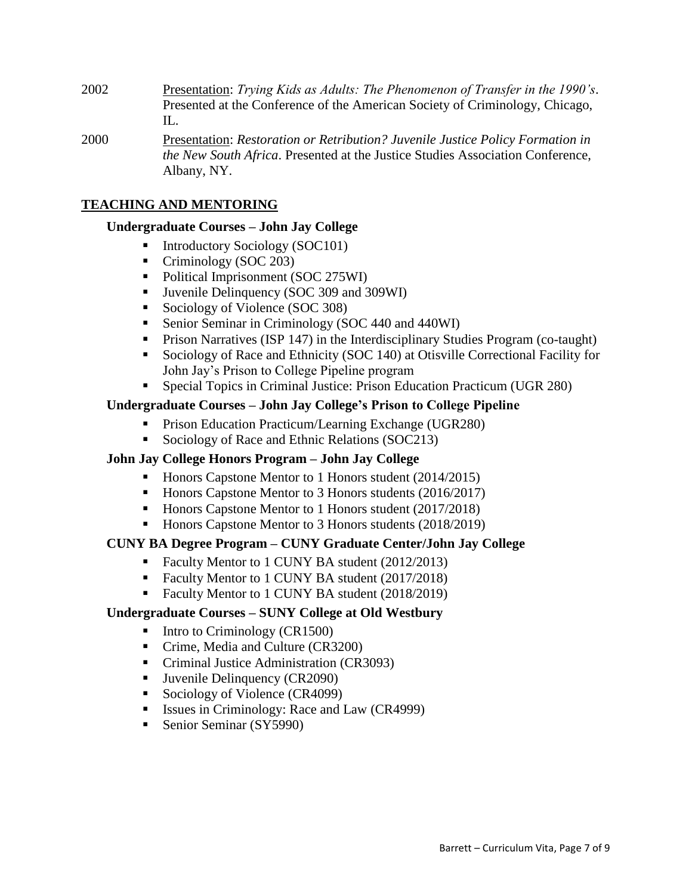- 2002 Presentation: *Trying Kids as Adults: The Phenomenon of Transfer in the 1990's*. Presented at the Conference of the American Society of Criminology, Chicago,  $\Pi$ .
- 2000 Presentation: *Restoration or Retribution? Juvenile Justice Policy Formation in the New South Africa*. Presented at the Justice Studies Association Conference, Albany, NY.

### **TEACHING AND MENTORING**

#### **Undergraduate Courses – John Jay College**

- Introductory Sociology (SOC101)
- Criminology (SOC 203)
- Political Imprisonment (SOC 275WI)
- Juvenile Delinquency (SOC 309 and 309WI)
- Sociology of Violence (SOC 308)
- Senior Seminar in Criminology (SOC 440 and 440WI)
- **Prison Narratives (ISP 147) in the Interdisciplinary Studies Program (co-taught)**
- Sociology of Race and Ethnicity (SOC 140) at Otisville Correctional Facility for John Jay's Prison to College Pipeline program
- Special Topics in Criminal Justice: Prison Education Practicum (UGR 280)

## **Undergraduate Courses – John Jay College's Prison to College Pipeline**

- **Prison Education Practicum/Learning Exchange (UGR280)**
- Sociology of Race and Ethnic Relations (SOC213)

## **John Jay College Honors Program – John Jay College**

- Honors Capstone Mentor to 1 Honors student (2014/2015)
- Honors Capstone Mentor to 3 Honors students (2016/2017)
- Honors Capstone Mentor to 1 Honors student (2017/2018)
- Honors Capstone Mentor to 3 Honors students (2018/2019)

## **CUNY BA Degree Program – CUNY Graduate Center/John Jay College**

- Faculty Mentor to 1 CUNY BA student (2012/2013)
- Faculty Mentor to 1 CUNY BA student (2017/2018)
- Faculty Mentor to 1 CUNY BA student (2018/2019)

## **Undergraduate Courses – SUNY College at Old Westbury**

- $\blacksquare$  Intro to Criminology (CR1500)
- Crime, Media and Culture (CR3200)
- Criminal Justice Administration (CR3093)
- Juvenile Delinquency (CR2090)
- Sociology of Violence (CR4099)
- Issues in Criminology: Race and Law (CR4999)
- Senior Seminar (SY5990)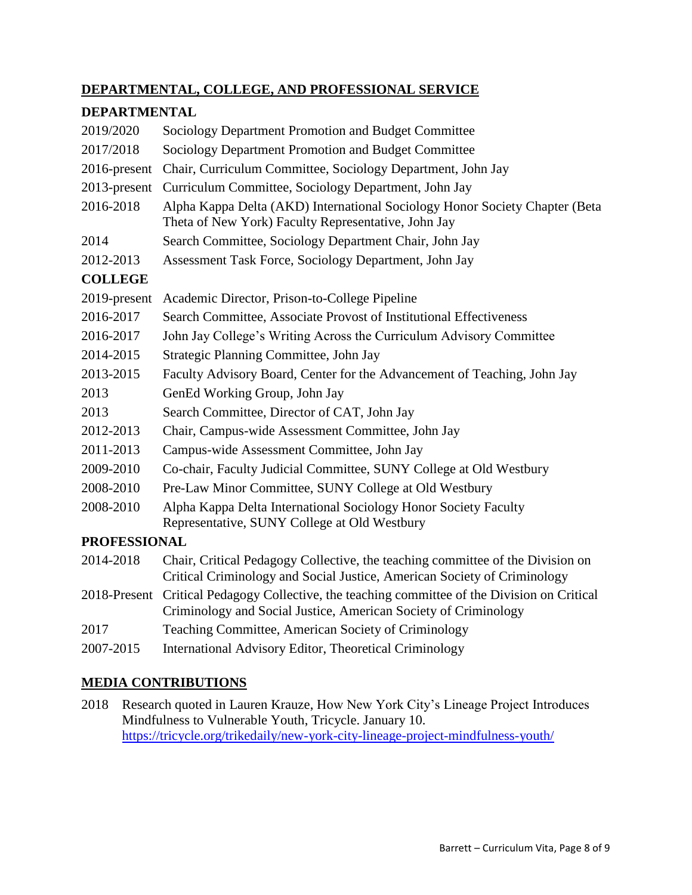## **DEPARTMENTAL, COLLEGE, AND PROFESSIONAL SERVICE**

## **DEPARTMENTAL**

| 2019/2020           | Sociology Department Promotion and Budget Committee                                                                                                              |
|---------------------|------------------------------------------------------------------------------------------------------------------------------------------------------------------|
| 2017/2018           | Sociology Department Promotion and Budget Committee                                                                                                              |
| $2016$ -present     | Chair, Curriculum Committee, Sociology Department, John Jay                                                                                                      |
| $2013$ -present     | Curriculum Committee, Sociology Department, John Jay                                                                                                             |
| 2016-2018           | Alpha Kappa Delta (AKD) International Sociology Honor Society Chapter (Beta<br>Theta of New York) Faculty Representative, John Jay                               |
| 2014                | Search Committee, Sociology Department Chair, John Jay                                                                                                           |
| 2012-2013           | Assessment Task Force, Sociology Department, John Jay                                                                                                            |
| <b>COLLEGE</b>      |                                                                                                                                                                  |
| 2019-present        | Academic Director, Prison-to-College Pipeline                                                                                                                    |
| 2016-2017           | Search Committee, Associate Provost of Institutional Effectiveness                                                                                               |
| 2016-2017           | John Jay College's Writing Across the Curriculum Advisory Committee                                                                                              |
| 2014-2015           | Strategic Planning Committee, John Jay                                                                                                                           |
| 2013-2015           | Faculty Advisory Board, Center for the Advancement of Teaching, John Jay                                                                                         |
| 2013                | GenEd Working Group, John Jay                                                                                                                                    |
| 2013                | Search Committee, Director of CAT, John Jay                                                                                                                      |
| 2012-2013           | Chair, Campus-wide Assessment Committee, John Jay                                                                                                                |
| 2011-2013           | Campus-wide Assessment Committee, John Jay                                                                                                                       |
| 2009-2010           | Co-chair, Faculty Judicial Committee, SUNY College at Old Westbury                                                                                               |
| 2008-2010           | Pre-Law Minor Committee, SUNY College at Old Westbury                                                                                                            |
| 2008-2010           | Alpha Kappa Delta International Sociology Honor Society Faculty<br>Representative, SUNY College at Old Westbury                                                  |
| <b>PROFESSIONAL</b> |                                                                                                                                                                  |
| 2014-2018           | Chair, Critical Pedagogy Collective, the teaching committee of the Division on<br>Critical Criminology and Social Justice, American Society of Criminology       |
|                     | 2018-Present Critical Pedagogy Collective, the teaching committee of the Division on Critical<br>Criminology and Social Justice, American Society of Criminology |
| $\bigcap$ $\bigcap$ |                                                                                                                                                                  |

- 2017 Teaching Committee, American Society of Criminology
- 2007-2015 International Advisory Editor, Theoretical Criminology

# **MEDIA CONTRIBUTIONS**

2018 Research quoted in Lauren Krauze, How New York City's Lineage Project Introduces Mindfulness to Vulnerable Youth, Tricycle. January 10. <https://tricycle.org/trikedaily/new-york-city-lineage-project-mindfulness-youth/>